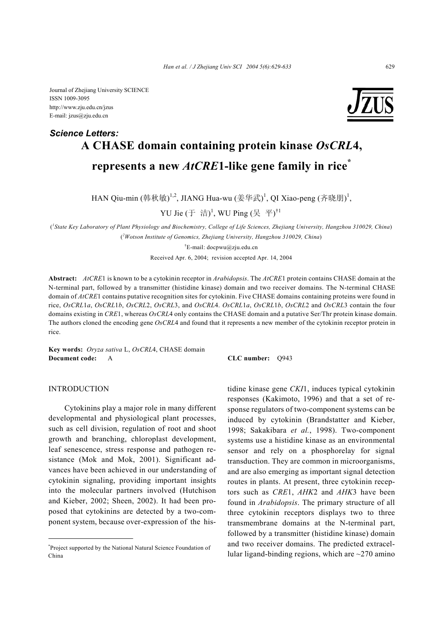Journal of Zhejiang University SCIENCE ISSN 1009-3095 http://www.zju.edu.cn/jzus E-mail: jzus@zju.edu.cn

# **A CHASE domain containing protein kinase** *OsCRL***4, represents a new** *AtCRE***1-like gene family in rice\*** *Science Letters:*

HAN Qiu-min (韩秋敏)<sup>1,2</sup>, JIANG Hua-wu (姜华武)<sup>1</sup>, QI Xiao-peng (齐晓朋)<sup>1</sup>,

YU Jie (于 洁)<sup>1</sup>, WU Ping (吴 平)<sup>†1</sup>

( *1 State Key Laboratory of Plant Physiology and Biochemistry, College of Life Sciences, Zhejiang University, Hangzhou 310029, China*) ( *2 Wotson Institute of Genomics, Zhejiang University, Hangzhou 310029, China*)

† E-mail: docpwu@zju.edu.cn

Received Apr. 6, 2004; revision accepted Apr. 14, 2004

**Abstract:** *AtCRE*1 is known to be a cytokinin receptor in *Arabidopsis*. The *AtCRE*1 protein contains CHASE domain at the N-terminal part, followed by a transmitter (histidine kinase) domain and two receiver domains. The N-terminal CHASE domain of *AtCRE*1 contains putative recognition sites for cytokinin. Five CHASE domains containing proteins were found in rice, *OsCRL*1*a*, *OsCRL*1*b*, *OsCRL*2, *OsCRL*3, and *OsCRL*4. *OsCRL*1*a*, *OsCRL*1*b*, *OsCRL*2 and *OsCRL*3 contain the four domains existing in *CRE*1, whereas *OsCRL*4 only contains the CHASE domain and a putative Ser/Thr protein kinase domain. The authors cloned the encoding gene *OsCRL*4 and found that it represents a new member of the cytokinin receptor protein in rice.

**Key words:** *Oryza sativa* L, *OsCRL*4, CHASE domain **Document code:** A **CLC number:** Q943

# INTRODUCTION

Cytokinins play a major role in many different developmental and physiological plant processes, such as cell division, regulation of root and shoot growth and branching, chloroplast development, leaf senescence, stress response and pathogen resistance (Mok and Mok, 2001). Significant advances have been achieved in our understanding of cytokinin signaling, providing important insights into the molecular partners involved (Hutchison and Kieber, 2002; Sheen, 2002). It had been proposed that cytokinins are detected by a two-component system, because over-expression of the his-

tidine kinase gene *CKI*1, induces typical cytokinin responses (Kakimoto, 1996) and that a set of response regulators of two-component systems can be induced by cytokinin (Brandstatter and Kieber, 1998; Sakakibara *et al.*, 1998). Two-component systems use a histidine kinase as an environmental sensor and rely on a phosphorelay for signal transduction. They are common in microorganisms, and are also emerging as important signal detection routes in plants. At present, three cytokinin receptors such as *CRE*1, *AHK*2 and *AHK*3 have been found in *Arabidopsis*. The primary structure of all three cytokinin receptors displays two to three transmembrane domains at the N-terminal part, followed by a transmitter (histidine kinase) domain and two receiver domains. The predicted extracellular ligand-binding regions, which are  $\sim$ 270 amino

 \* Project supported by the National Natural Science Foundation of China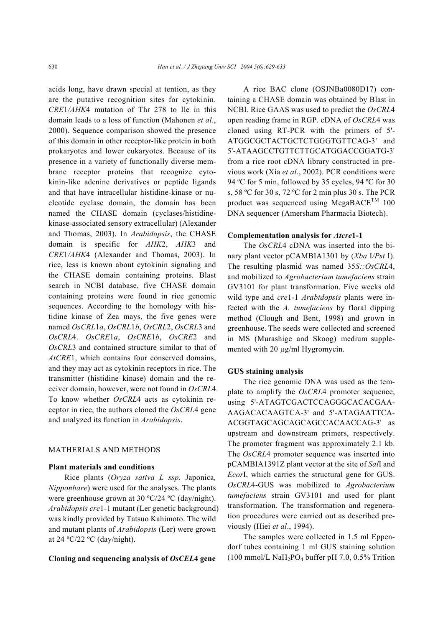acids long, have drawn special at tention, as they are the putative recognition sites for cytokinin. *CRE*1*/AHK*4 mutation of Thr 278 to Ile in this domain leads to a loss of function (Mahonen *et al*., 2000). Sequence comparison showed the presence of this domain in other receptor-like protein in both prokaryotes and lower eukaryotes. Because of its presence in a variety of functionally diverse membrane receptor proteins that recognize cytokinin-like adenine derivatives or peptide ligands and that have intracellular histidine-kinase or nucleotide cyclase domain, the domain has been named the CHASE domain (cyclases/histidinekinase-associated sensory extracellular) (Alexander and Thomas, 2003). In *Arabidopsis*, the CHASE domain is specific for *AHK*2, *AHK*3 and *CRE*1*/AHK*4 (Alexander and Thomas, 2003). In rice, less is known about cytokinin signaling and the CHASE domain containing proteins. Blast search in NCBI database, five CHASE domain containing proteins were found in rice genomic sequences. According to the homology with histidine kinase of Zea mays, the five genes were named *OsCRL*1*a*, *OsCRL*1*b*, *OsCRL*2, *OsCRL*3 and *OsCRL*4. *OsCRE*1*a*, *OsCRE*1*b*, *OsCRE*2 and *OsCRL*3 and contained structure similar to that of *AtCRE*1, which contains four conserved domains, and they may act as cytokinin receptors in rice. The transmitter (histidine kinase) domain and the receiver domain, however, were not found in *OsCRL*4. To know whether *OsCRL*4 acts as cytokinin receptor in rice, the authors cloned the *OsCRL*4 gene and analyzed its function in *Arabidopsis*.

### MATHERIALS AND METHODS

#### **Plant materials and conditions**

Rice plants (*Oryza sativa L ssp.* Japonica*, Nipponbare*) were used for the analyses. The plants were greenhouse grown at 30 ºC/24 ºC (day/night). *Arabidopsis cre*1-1 mutant (Ler genetic background) was kindly provided by Tatsuo Kahimoto. The wild and mutant plants of *Arabidopsis* (Ler) were grown at 24  $\rm{°C/22}$   $\rm{°C}$  (day/night).

### **Cloning and sequencing analysis of** *OsCEL***4 gene**

A rice BAC clone (OSJNBa0080D17) containing a CHASE domain was obtained by Blast in NCBI. Rice GAAS was used to predict the *OsCRL*4 open reading frame in RGP. cDNA of *OsCRL*4 was cloned using RT-PCR with the primers of 5'- ATGGCGCTACTGCTCTGGGTGTTCAG-3' and 5'-ATAAGCCTGTTCTTGCATGGACCGGATG-3' from a rice root cDNA library constructed in previous work (Xia *et al*., 2002). PCR conditions were 94 ºC for 5 min, followed by 35 cycles, 94 ºC for 30 s, 58 ºC for 30 s, 72 ºC for 2 min plus 30 s. The PCR product was sequenced using MegaBACE<sup>TM</sup> 100 DNA sequencer (Amersham Pharmacia Biotech).

#### **Complementation analysis for** *Atcre***1-1**

The *OsCRL*4 cDNA was inserted into the binary plant vector pCAMBIA1301 by (*Xba* I*/Pst* I). The resulting plasmid was named 35*S::OsCRL*4, and mobilized to *Agrobacterium tumefaciens* strain GV3101 for plant transformation. Five weeks old wild type and *cre*1-1 *Arabidopsis* plants were infected with the *A. tumefaciens* by floral dipping method (Clough and Bent, 1998) and grown in greenhouse. The seeds were collected and screened in MS (Murashige and Skoog) medium supplemented with 20  $\mu$ g/ml Hygromycin.

### **GUS staining analysis**

The rice genomic DNA was used as the template to amplify the *OsCRL*4 promoter sequence, using 5'-ATAGTCGACTCCAGGGCACACGAA-AAGACACAAGTCA-3' and 5'-ATAGAATTCA-ACGGTAGCAGCAGCAGCCACAACCAG-3' as upstream and downstream primers, respectively. The promoter fragment was approximately 2.1 kb. The *OsCRL*4 promoter sequence was inserted into pCAMBIA1391Z plant vector at the site of *Sal*I and *Ecor*I, which carries the structural gene for GUS. *OsCRL*4-GUS was mobilized to *Agrobacterium tumefaciens* strain GV3101 and used for plant transformation. The transformation and regeneration procedures were carried out as described previously (Hiei *et al*., 1994).

The samples were collected in 1.5 ml Eppendorf tubes containing 1 ml GUS staining solution (100 mmol/L NaH2PO4 buffer pH 7.0, 0.5% Trition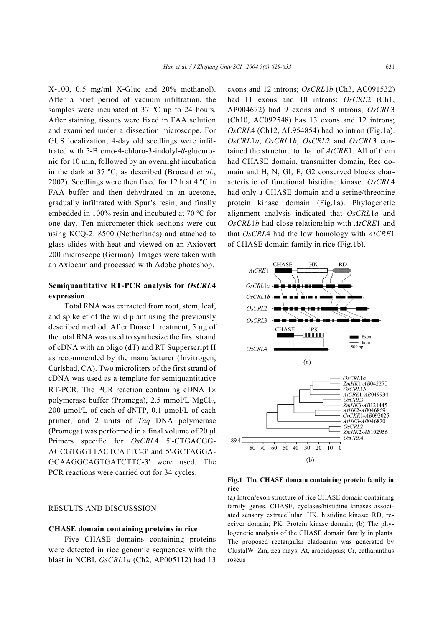X-100, 0.5 mg/ml X-Gluc and 20% methanol). After a brief period of vacuum infiltration, the samples were incubated at 37 °C up to 24 hours. After staining, tissues were fixed in FAA solution and examined under a dissection microscope. For GUS localization, 4-day old seedlings were infiltrated with 5-Bromo-4-chloro-3-indolyl-*β*-glucuronic for 10 min, followed by an overnight incubation in the dark at 37 ºC, as described (Brocard *et al*., 2002). Seedlings were then fixed for 12 h at 4 ºC in FAA buffer and then dehydrated in an acetone, gradually infiltrated with Spur's resin, and finally embedded in 100% resin and incubated at 70 ºC for one day. Ten micrometer-thick sections were cut using KCQ-2. 8500 (Netherlands) and attached to glass slides with heat and viewed on an Axiovert 200 microscope (German). Images were taken with an Axiocam and processed with Adobe photoshop.

# **Semiquantitative RT-PCR analysis for** *OsCRL***4 expression**

Total RNA was extracted from root, stem, leaf, and spikelet of the wild plant using the previously described method. After Dnase I treatment, 5 µg of the total RNA was used to synthesize the first strand of cDNA with an oligo (dT) and RT Supperscript II as recommended by the manufacturer (Invitrogen, Carlsbad, CA). Two microliters of the first strand of cDNA was used as a template for semiquantitative RT-PCR. The PCR reaction containing cDNA  $1 \times$ polymerase buffer (Promega),  $2.5 \text{ mmol/L } MgCl<sub>2</sub>$ , 200 µmol/L of each of dNTP, 0.1 µmol/L of each primer, and 2 units of *Taq* DNA polymerase (Promega) was performed in a final volume of  $20 \mu$ . Primers specific for *OsCRL*4 5'-CTGACGG-AGCGTGGTTACTCATTC-3' and 5'-GCTAGGA-GCAAGGCAGTGATCTTC-3' were used. The PCR reactions were carried out for 34 cycles.

# RESULTS AND DISCUSSSION

#### **CHASE domain containing proteins in rice**

Five CHASE domains containing proteins were detected in rice genomic sequences with the blast in NCBI. *OsCRL*1*a* (Ch2, AP005112) had 13

exons and 12 introns; *OsCRL*1*b* (Ch3, AC091532) had 11 exons and 10 introns; *OsCRL*2 (Ch1, AP004672) had 9 exons and 8 introns; *OsCRL*3 (Ch10, AC092548) has 13 exons and 12 introns; *OsCRL*4 (Ch12, AL954854) had no intron (Fig.1a). *OsCRL*1*a*, *OsCRL*1*b*, *OsCRL*2 and *OsCRL*3 contained the structure to that of *AtCRE*1. All of them had CHASE domain, transmitter domain, Rec domain and H, N, GI, F, G2 conserved blocks characteristic of functional histidine kinase. *OsCRL*4 had only a CHASE domain and a serine/threonine protein kinase domain (Fig.1a). Phylogenetic alignment analysis indicated that *OsCRL*1*a* and *OsCRL*1*b* had close relationship with *AtCRE*1 and that *OsCRL*4 had the low homology with *AtCRE*1 of CHASE domain family in rice (Fig.1b).



**Fig.1 The CHASE domain containing protein family in rice** 

(a) Intron/exon structure of rice CHASE domain containing family genes. CHASE, cyclases/histidine kinases associated sensory extracellular; HK, histidine kinase; RD, receiver domain; PK, Protein kinase domain; (b) The phylogenetic analysis of the CHASE domain family in plants. The proposed rectangular cladogram was generated by ClustalW. Zm, zea mays; At, arabidopsis; Cr, catharanthus roseus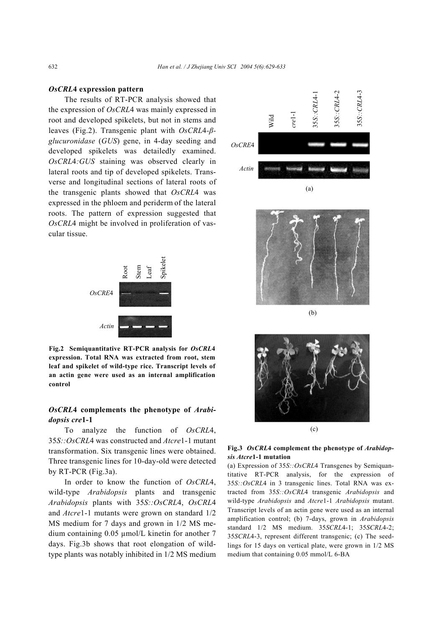# *OsCRL***4 expression pattern**

The results of RT-PCR analysis showed that the expression of *OsCRL*4 was mainly expressed in root and developed spikelets, but not in stems and leaves (Fig.2). Transgenic plant with *OsCRL*4*-βglucuronidase* (*GUS*) gene, in 4-day seeding and developed spikelets was detailedly examined. *OsCRL*4*:GUS* staining was observed clearly in lateral roots and tip of developed spikelets. Transverse and longitudinal sections of lateral roots of the transgenic plants showed that *OsCRL*4 was expressed in the phloem and periderm of the lateral roots. The pattern of expression suggested that *OsCRL*4 might be involved in proliferation of vascular tissue.



**Fig.2 Semiquantitative RT-PCR analysis for** *OsCRL***4 expression. Total RNA was extracted from root, stem leaf and spikelet of wild-type rice. Transcript levels of an actin gene were used as an internal amplification control**

# *OsCRL***4 complements the phenotype of** *Arabidopsis cre***1-1**

To analyze the function of *OsCRL*4, 35*S::OsCRL*4 was constructed and *Atcre*1-1 mutant transformation. Six transgenic lines were obtained. Three transgenic lines for 10-day-old were detected by RT-PCR (Fig.3a).

In order to know the function of *OsCRL*4, wild-type *Arabidopsis* plants and transgenic *Arabidopsis* plants with 35*S::OsCRL*4, *OsCRL*4 and *Atcre*1-1 mutants were grown on standard 1/2 MS medium for 7 days and grown in 1/2 MS medium containing 0.05 µmol/L kinetin for another 7 days. Fig.3b shows that root elongation of wildtype plants was notably inhibited in 1/2 MS medium





(b)



**Fig.3** *OsCRL***4 complement the phenotype of** *Arabidopsis Atcre***1-1 mutation** 

(a) Expression of 35*S::OsCRL*4 Transgenes by Semiquantitative RT-PCR analysis, for the expression of 35*S::OsCRL*4 in 3 transgenic lines. Total RNA was extracted from 35*S::OsCRL*4 transgenic *Arabidopsis* and wild-type *Arabidopsis* and *Atcre*1-1 *Arabidopsis* mutant. Transcript levels of an actin gene were used as an internal amplification control; (b) 7-days, grown in *Arabidopsis* standard 1/2 MS medium. 35*SCRL*4-1; 35*SCRL*4-2; 35*SCRL*4-3, represent different transgenic; (c) The seedlings for 15 days on vertical plate, were grown in 1/2 MS medium that containing 0.05 mmol/L 6-BA